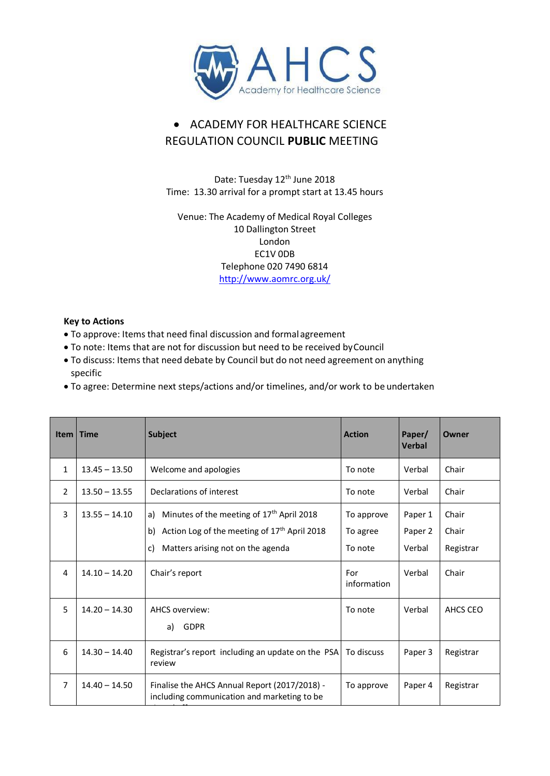

## • ACADEMY FOR HEALTHCARE SCIENCE REGULATION COUNCIL **PUBLIC** MEETING

Date: Tuesday 12<sup>th</sup> June 2018 Time: 13.30 arrival for a prompt start at 13.45 hours

Venue: The Academy of Medical Royal Colleges 10 Dallington Street London EC1V 0DB Telephone 020 7490 6814 <http://www.aomrc.org.uk/>

## **Key to Actions**

- To approve: Items that need final discussion and formalagreement
- To note: Items that are not for discussion but need to be received byCouncil
- To discuss: Items that need debate by Council but do not need agreement on anything specific
- To agree: Determine next steps/actions and/or timelines, and/or work to be undertaken

| <b>Item</b>    | <b>Time</b>     | <b>Subject</b>                                                                                                                                                           | <b>Action</b>                     | Paper/<br><b>Verbal</b>      | Owner                       |
|----------------|-----------------|--------------------------------------------------------------------------------------------------------------------------------------------------------------------------|-----------------------------------|------------------------------|-----------------------------|
| 1              | $13.45 - 13.50$ | Welcome and apologies                                                                                                                                                    | To note                           | Verbal                       | Chair                       |
| $\overline{2}$ | $13.50 - 13.55$ | Declarations of interest                                                                                                                                                 | To note                           | Verbal                       | Chair                       |
| 3              | $13.55 - 14.10$ | Minutes of the meeting of 17 <sup>th</sup> April 2018<br>a)<br>Action Log of the meeting of 17 <sup>th</sup> April 2018<br>b)<br>Matters arising not on the agenda<br>C) | To approve<br>To agree<br>To note | Paper 1<br>Paper 2<br>Verbal | Chair<br>Chair<br>Registrar |
| 4              | $14.10 - 14.20$ | Chair's report                                                                                                                                                           | For<br>information                | Verbal                       | Chair                       |
| 5              | $14.20 - 14.30$ | <b>AHCS overview:</b><br><b>GDPR</b><br>a)                                                                                                                               | To note                           | Verbal                       | AHCS CEO                    |
| 6              | $14.30 - 14.40$ | Registrar's report including an update on the PSA<br>review                                                                                                              | To discuss                        | Paper 3                      | Registrar                   |
| $\overline{7}$ | $14.40 - 14.50$ | Finalise the AHCS Annual Report (2017/2018) -<br>including communication and marketing to be                                                                             | To approve                        | Paper 4                      | Registrar                   |